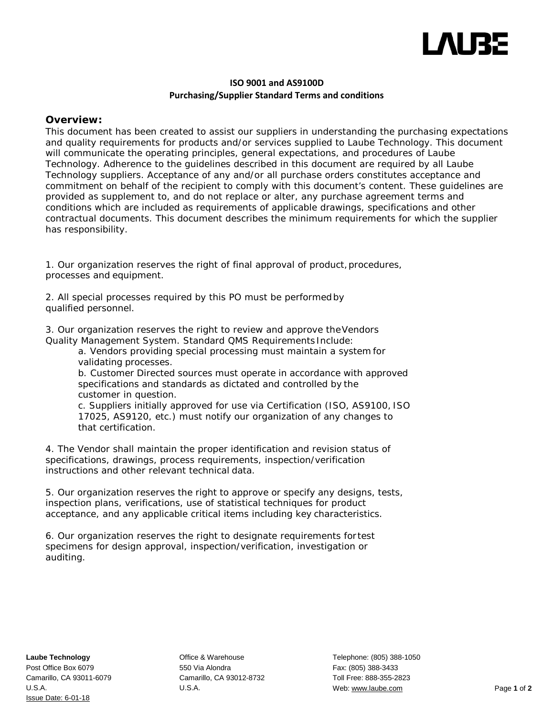

### **ISO 9001 and AS9100D Purchasing/Supplier Standard Terms and conditions**

### **Overview:**

This document has been created to assist our suppliers in understanding the purchasing expectations and quality requirements for products and/or services supplied to Laube Technology. This document will communicate the operating principles, general expectations, and procedures of Laube Technology. Adherence to the guidelines described in this document are required by all Laube Technology suppliers. Acceptance of any and/or all purchase orders constitutes acceptance and commitment on behalf of the recipient to comply with this document's content. These guidelines are provided as supplement to, and do not replace or alter, any purchase agreement terms and conditions which are included as requirements of applicable drawings, specifications and other contractual documents. This document describes the minimum requirements for which the supplier has responsibility.

1. Our organization reserves the right of final approval of product, procedures, processes and equipment.

2. All special processes required by this PO must be performedby qualified personnel.

3. Our organization reserves the right to review and approve theVendors Quality Management System. Standard QMS Requirements Include:

a. Vendors providing special processing must maintain a system for validating processes.

b. Customer Directed sources must operate in accordance with approved specifications and standards as dictated and controlled by the customer in question.

c. Suppliers initially approved for use via Certification (ISO, AS9100, ISO 17025, AS9120, etc.) must notify our organization of any changes to that certification.

4. The Vendor shall maintain the proper identification and revision status of specifications, drawings, process requirements, inspection/verification instructions and other relevant technical data.

5. Our organization reserves the right to approve or specify any designs, tests, inspection plans, verifications, use of statistical techniques for product acceptance, and any applicable critical items including key characteristics.

6. Our organization reserves the right to designate requirements for test specimens for design approval, inspection/verification, investigation or auditing.

Office & Warehouse 550 Via Alondra Camarillo, CA 93012-8732 U.S.A.

Telephone: (805) 388-1050 Fax: (805) 388-3433 Toll Free: 888-355-2823 Web[: www.laube.com](http://www.laube.com/) Page **1** of **2**